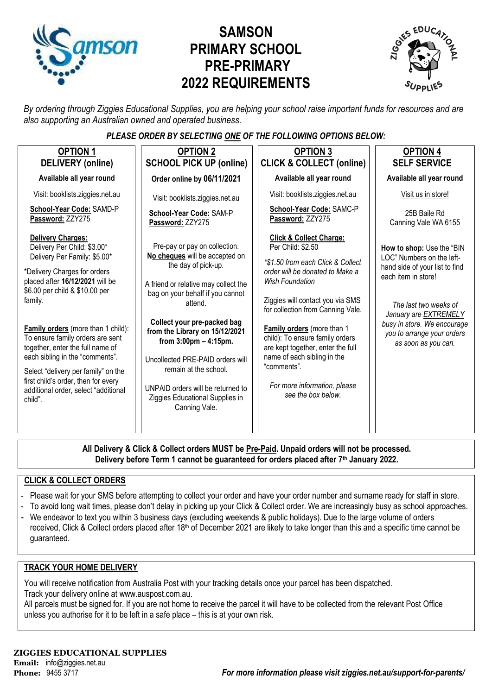

# **SAMSON PRIMARY SCHOOL PRE-PRIMARY 2022 REQUIREMENTS**



*By ordering through Ziggies Educational Supplies, you are helping your school raise important funds for resources and are also supporting an Australian owned and operated business.*

### *PLEASE ORDER BY SELECTING ONE OF THE FOLLOWING OPTIONS BELOW:*

| <b>OPTION 1</b><br>DELIVERY (online)                                                                                                                                                                                                                                                                                                                                                                                                                                                             | <b>OPTION 2</b><br><b>SCHOOL PICK UP (online)</b>                                                                                                                                                                                                                                                                                                                                                                                                | <b>OPTION 3</b><br><b>CLICK &amp; COLLECT (online)</b>                                                                                                                                                                                                                                                                                                                                                                                       | <b>OPTION 4</b><br><b>SELF SERVICE</b>                                                                                                                                                                                                                |
|--------------------------------------------------------------------------------------------------------------------------------------------------------------------------------------------------------------------------------------------------------------------------------------------------------------------------------------------------------------------------------------------------------------------------------------------------------------------------------------------------|--------------------------------------------------------------------------------------------------------------------------------------------------------------------------------------------------------------------------------------------------------------------------------------------------------------------------------------------------------------------------------------------------------------------------------------------------|----------------------------------------------------------------------------------------------------------------------------------------------------------------------------------------------------------------------------------------------------------------------------------------------------------------------------------------------------------------------------------------------------------------------------------------------|-------------------------------------------------------------------------------------------------------------------------------------------------------------------------------------------------------------------------------------------------------|
| Available all year round                                                                                                                                                                                                                                                                                                                                                                                                                                                                         | Order online by 06/11/2021                                                                                                                                                                                                                                                                                                                                                                                                                       | Available all year round                                                                                                                                                                                                                                                                                                                                                                                                                     | Available all year round                                                                                                                                                                                                                              |
| Visit: booklists.ziggies.net.au                                                                                                                                                                                                                                                                                                                                                                                                                                                                  | Visit: booklists.ziggies.net.au                                                                                                                                                                                                                                                                                                                                                                                                                  | Visit: booklists.ziggies.net.au                                                                                                                                                                                                                                                                                                                                                                                                              | Visit us in store!                                                                                                                                                                                                                                    |
| School-Year Code: SAMD-P<br>Password: ZZY275                                                                                                                                                                                                                                                                                                                                                                                                                                                     | School-Year Code: SAM-P<br>Password: ZZY275                                                                                                                                                                                                                                                                                                                                                                                                      | School-Year Code: SAMC-P<br>Password: ZZY275                                                                                                                                                                                                                                                                                                                                                                                                 | 25B Baile Rd<br>Canning Vale WA 6155                                                                                                                                                                                                                  |
| <b>Delivery Charges:</b><br>Delivery Per Child: \$3.00*<br>Delivery Per Family: \$5.00*<br>*Delivery Charges for orders<br>placed after 16/12/2021 will be<br>\$6.00 per child & \$10.00 per<br>family.<br><b>Family orders</b> (more than 1 child):<br>To ensure family orders are sent<br>together, enter the full name of<br>each sibling in the "comments".<br>Select "delivery per family" on the<br>first child's order, then for every<br>additional order, select "additional<br>child". | Pre-pay or pay on collection.<br>No cheques will be accepted on<br>the day of pick-up.<br>A friend or relative may collect the<br>bag on your behalf if you cannot<br>attend.<br>Collect your pre-packed bag<br>from the Library on 15/12/2021<br>from $3:00 \text{pm} - 4:15 \text{pm}$ .<br>Uncollected PRE-PAID orders will<br>remain at the school.<br>UNPAID orders will be returned to<br>Ziggies Educational Supplies in<br>Canning Vale. | <b>Click &amp; Collect Charge:</b><br>Per Child: \$2.50<br>*\$1.50 from each Click & Collect<br>order will be donated to Make a<br><b>Wish Foundation</b><br>Ziggies will contact you via SMS<br>for collection from Canning Vale.<br>Family orders (more than 1<br>child): To ensure family orders<br>are kept together, enter the full<br>name of each sibling in the<br>"comments".<br>For more information, please<br>see the box below. | How to shop: Use the "BIN<br>LOC" Numbers on the left-<br>hand side of your list to find<br>each item in store!<br>The last two weeks of<br>January are EXTREMELY<br>busy in store. We encourage<br>you to arrange your orders<br>as soon as you can. |

**All Delivery & Click & Collect orders MUST be Pre-Paid. Unpaid orders will not be processed. Delivery before Term 1 cannot be guaranteed for orders placed after 7th January 2022.**

### **CLICK & COLLECT ORDERS**

- Please wait for your SMS before attempting to collect your order and have your order number and surname ready for staff in store.
- To avoid long wait times, please don't delay in picking up your Click & Collect order. We are increasingly busy as school approaches.
- We endeavor to text you within 3 business days (excluding weekends & public holidays). Due to the large volume of orders received, Click & Collect orders placed after 18<sup>th</sup> of December 2021 are likely to take longer than this and a specific time cannot be guaranteed.

#### **TRACK YOUR HOME DELIVERY**

You will receive notification from Australia Post with your tracking details once your parcel has been dispatched. Track your delivery online a[t www.auspost.com.au.](http://www.auspost.com.au/)

All parcels must be signed for. If you are not home to receive the parcel it will have to be collected from the relevant Post Office unless you authorise for it to be left in a safe place – this is at your own risk.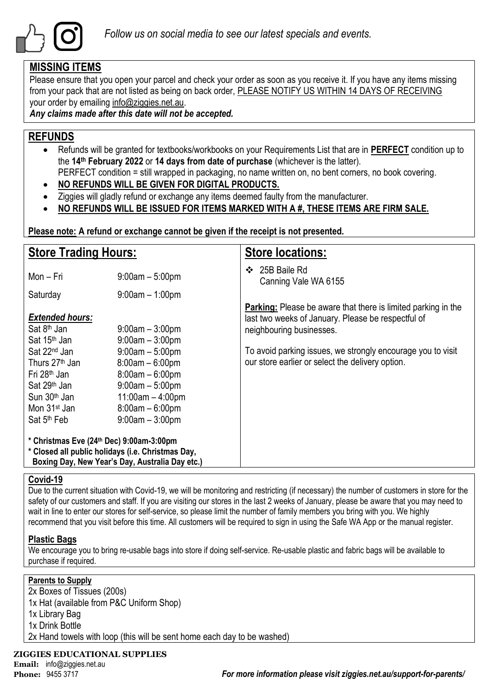

## **MISSING ITEMS**

Please ensure that you open your parcel and check your order as soon as you receive it. If you have any items missing from your pack that are not listed as being on back order, PLEASE NOTIFY US WITHIN 14 DAYS OF RECEIVING your order by emailing info@ziggies.net.au.

*Any claims made after this date will not be accepted.*

## **REFUNDS**

- Refunds will be granted for textbooks/workbooks on your Requirements List that are in **PERFECT** condition up to the **14th February 2022** or **14 days from date of purchase** (whichever is the latter). PERFECT condition = still wrapped in packaging, no name written on, no bent corners, no book covering.
- **NO REFUNDS WILL BE GIVEN FOR DIGITAL PRODUCTS.**
- Ziggies will gladly refund or exchange any items deemed faulty from the manufacturer.
- **NO REFUNDS WILL BE ISSUED FOR ITEMS MARKED WITH A #, THESE ITEMS ARE FIRM SALE.**

**Please note: A refund or exchange cannot be given if the receipt is not presented.**

| <b>Store Trading Hours:</b>                                                                                                                                                                       |                                                                                                                                                  | <b>Store locations:</b>                                                                                                                                |  |  |  |  |
|---------------------------------------------------------------------------------------------------------------------------------------------------------------------------------------------------|--------------------------------------------------------------------------------------------------------------------------------------------------|--------------------------------------------------------------------------------------------------------------------------------------------------------|--|--|--|--|
| Mon - Fri                                                                                                                                                                                         | $9:00am - 5:00pm$                                                                                                                                | 25B Baile Rd<br>❖<br>Canning Vale WA 6155                                                                                                              |  |  |  |  |
| Saturday                                                                                                                                                                                          | $9:00am - 1:00pm$                                                                                                                                |                                                                                                                                                        |  |  |  |  |
| <b>Extended hours:</b><br>Sat 8 <sup>th</sup> Jan<br>Sat 15 <sup>th</sup> Jan                                                                                                                     | $9:00$ am $-3:00$ pm<br>$9:00am - 3:00pm$                                                                                                        | <b>Parking:</b> Please be aware that there is limited parking in the<br>last two weeks of January. Please be respectful of<br>neighbouring businesses. |  |  |  |  |
| Sat 22 <sup>nd</sup> Jan<br>Thurs 27 <sup>th</sup> Jan<br>Fri 28 <sup>th</sup> Jan<br>Sat 29 <sup>th</sup> Jan<br>Sun 30 <sup>th</sup> Jan<br>Mon 31 <sup>st</sup> Jan<br>Sat 5 <sup>th</sup> Feb | $9:00am - 5:00pm$<br>$8:00am - 6:00pm$<br>$8:00am - 6:00pm$<br>$9:00am - 5:00pm$<br>$11:00am - 4:00pm$<br>$8:00am - 6:00pm$<br>$9:00am - 3:00pm$ | To avoid parking issues, we strongly encourage you to visit<br>our store earlier or select the delivery option.                                        |  |  |  |  |
| * Christmas Eve (24th Dec) 9:00am-3:00pm<br>* Closed all public holidays (i.e. Christmas Day,<br>Boxing Day, New Year's Day, Australia Day etc.)                                                  |                                                                                                                                                  |                                                                                                                                                        |  |  |  |  |

### **Covid-19**

Due to the current situation with Covid-19, we will be monitoring and restricting (if necessary) the number of customers in store for the safety of our customers and staff. If you are visiting our stores in the last 2 weeks of January, please be aware that you may need to wait in line to enter our stores for self-service, so please limit the number of family members you bring with you. We highly recommend that you visit before this time. All customers will be required to sign in using the Safe WA App or the manual register.

### **Plastic Bags**

We encourage you to bring re-usable bags into store if doing self-service. Re-usable plastic and fabric bags will be available to purchase if required.

### **Parents to Supply**

2x Boxes of Tissues (200s) 1x Hat (available from P&C Uniform Shop) 1x Library Bag 1x Drink Bottle 2x Hand towels with loop (this will be sent home each day to be washed)

### **ZIGGIES EDUCATIONAL SUPPLIES**

**Email:** info@ziggies.net.au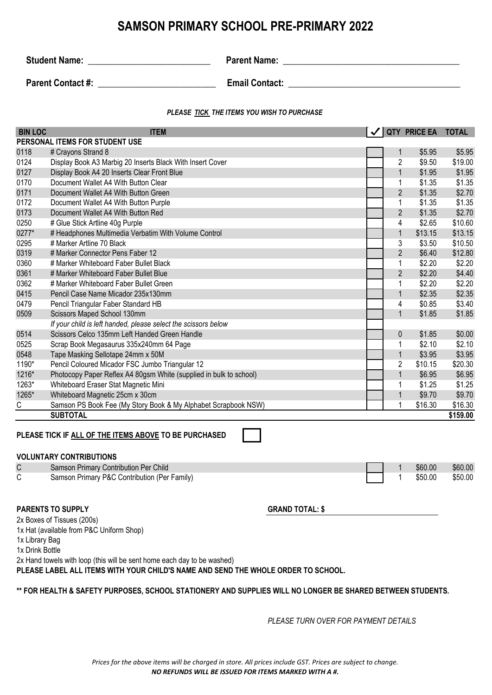## **SAMSON PRIMARY SCHOOL PRE-PRIMARY 2022**

**Student Name:** \_\_\_\_\_\_\_\_\_\_\_\_\_\_\_\_\_\_\_\_\_\_\_\_\_\_\_ **Parent Name: \_\_\_\_\_\_\_\_\_\_\_\_\_\_\_\_\_\_\_\_\_\_\_\_\_\_\_\_\_\_\_\_\_\_\_\_\_\_\_**

**Parent Contact #:**  $\qquad \qquad$  **Email Contact:**  $\qquad \qquad$ 

#### *PLEASE TICK THE ITEMS YOU WISH TO PURCHASE*

| <b>BIN LOC</b> | <b>ITEM</b>                                                        |                | <b>QTY PRICE EA</b> | <b>TOTAL</b> |
|----------------|--------------------------------------------------------------------|----------------|---------------------|--------------|
|                | PERSONAL ITEMS FOR STUDENT USE                                     |                |                     |              |
| 0118           | # Crayons Strand 8                                                 | $\mathbf 1$    | \$5.95              | \$5.95       |
| 0124           | Display Book A3 Marbig 20 Inserts Black With Insert Cover          | $\overline{2}$ | \$9.50              | \$19.00      |
| 0127           | Display Book A4 20 Inserts Clear Front Blue                        | $\mathbf{1}$   | \$1.95              | \$1.95       |
| 0170           | Document Wallet A4 With Button Clear                               | 1              | \$1.35              | \$1.35       |
| 0171           | Document Wallet A4 With Button Green                               | $\overline{2}$ | \$1.35              | \$2.70       |
| 0172           | Document Wallet A4 With Button Purple                              | 1              | \$1.35              | \$1.35       |
| 0173           | Document Wallet A4 With Button Red                                 | $\overline{2}$ | \$1.35              | \$2.70       |
| 0250           | # Glue Stick Artline 40g Purple                                    | 4              | \$2.65              | \$10.60      |
| 0277*          | # Headphones Multimedia Verbatim With Volume Control               | $\mathbf{1}$   | \$13.15             | \$13.15      |
| 0295           | # Marker Artline 70 Black                                          | 3              | \$3.50              | \$10.50      |
| 0319           | # Marker Connector Pens Faber 12                                   | $\overline{2}$ | \$6.40              | \$12.80      |
| 0360           | # Marker Whiteboard Faber Bullet Black                             | 1              | \$2.20              | \$2.20       |
| 0361           | # Marker Whiteboard Faber Bullet Blue                              | $\overline{2}$ | \$2.20              | \$4.40       |
| 0362           | # Marker Whiteboard Faber Bullet Green                             | $\mathbf{1}$   | \$2.20              | \$2.20       |
| 0415           | Pencil Case Name Micador 235x130mm                                 | $\mathbf{1}$   | \$2.35              | \$2.35       |
| 0479           | Pencil Triangular Faber Standard HB                                | 4              | \$0.85              | \$3.40       |
| 0509           | Scissors Maped School 130mm                                        | $\mathbf{1}$   | \$1.85              | \$1.85       |
|                | If your child is left handed, please select the scissors below     |                |                     |              |
| 0514           | Scissors Celco 135mm Left Handed Green Handle                      | $\mathbf 0$    | \$1.85              | \$0.00       |
| 0525           | Scrap Book Megasaurus 335x240mm 64 Page                            |                | \$2.10              | \$2.10       |
| 0548           | Tape Masking Sellotape 24mm x 50M                                  | $\mathbf 1$    | \$3.95              | \$3.95       |
| 1190*          | Pencil Coloured Micador FSC Jumbo Triangular 12                    | $\overline{2}$ | \$10.15             | \$20.30      |
| 1216*          | Photocopy Paper Reflex A4 80gsm White (supplied in bulk to school) | $\mathbf{1}$   | \$6.95              | \$6.95       |
| 1263*          | Whiteboard Eraser Stat Magnetic Mini                               | 1              | \$1.25              | \$1.25       |
| 1265*          | Whiteboard Magnetic 25cm x 30cm                                    | $\mathbf{1}$   | \$9.70              | \$9.70       |
| С              | Samson PS Book Fee (My Story Book & My Alphabet Scrapbook NSW)     | 1              | \$16.30             | \$16.30      |
|                | <b>SUBTOTAL</b>                                                    |                |                     | \$159.00     |

#### **PLEASE TICK IF ALL OF THE ITEMS ABOVE TO BE PURCHASED**

| $\mathsf{C}$ | Samson Primary Contribution Per Child        |  | \$60.00 | \$60.00 |
|--------------|----------------------------------------------|--|---------|---------|
|              | Samson Primary P&C Contribution (Per Family) |  | \$50.00 | \$50.00 |

#### **PARENTS TO SUPPLY GRAND TOTAL: \$**

2x Boxes of Tissues (200s)

1x Hat (available from P&C Uniform Shop)

1x Library Bag

1x Drink Bottle

2x Hand towels with loop (this will be sent home each day to be washed)

**PLEASE LABEL ALL ITEMS WITH YOUR CHILD'S NAME AND SEND THE WHOLE ORDER TO SCHOOL.**

#### **\*\* FOR HEALTH & SAFETY PURPOSES, SCHOOL STATIONERY AND SUPPLIES WILL NO LONGER BE SHARED BETWEEN STUDENTS.**

*PLEASE TURN OVER FOR PAYMENT DETAILS*